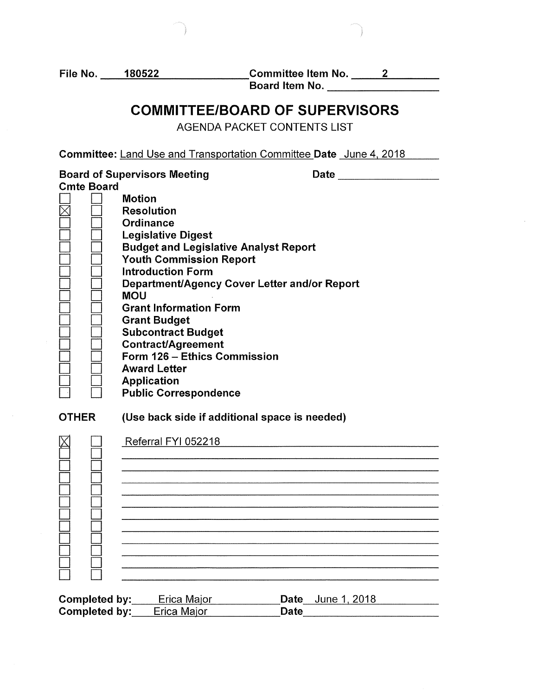D D  $\Box$   $\Box$ D D D D

File No. 180522 Committee Item No. 2 \_ \_\_\_.;;...;;;...;;...,;=------ --=---- Board Item No. --------

# **COMMITTEE/BOARD OF SUPERVISORS**

AGENDA PACKET CONTENTS LIST

| <b>Committee: Land Use and Transportation Committee Date June 4, 2018</b> |                                                                                                                                                                                                                                                                                                                                                                                                                                                                                                                                        |  |
|---------------------------------------------------------------------------|----------------------------------------------------------------------------------------------------------------------------------------------------------------------------------------------------------------------------------------------------------------------------------------------------------------------------------------------------------------------------------------------------------------------------------------------------------------------------------------------------------------------------------------|--|
| <b>Cmte Board</b>                                                         | <b>Board of Supervisors Meeting</b><br>Date<br><b>Motion</b><br><b>Resolution</b><br>Ordinance<br><b>Legislative Digest</b><br><b>Budget and Legislative Analyst Report</b><br><b>Youth Commission Report</b><br><b>Introduction Form</b><br>Department/Agency Cover Letter and/or Report<br><b>MOU</b><br><b>Grant Information Form</b><br><b>Grant Budget</b><br><b>Subcontract Budget</b><br><b>Contract/Agreement</b><br>Form 126 - Ethics Commission<br><b>Award Letter</b><br><b>Application</b><br><b>Public Correspondence</b> |  |
| <b>OTHER</b>                                                              | (Use back side if additional space is needed)                                                                                                                                                                                                                                                                                                                                                                                                                                                                                          |  |
|                                                                           | Referral FYI 052218                                                                                                                                                                                                                                                                                                                                                                                                                                                                                                                    |  |
|                                                                           |                                                                                                                                                                                                                                                                                                                                                                                                                                                                                                                                        |  |

Completed by: Erica Major **Date** June 1, 2018 Completed by: Erica Major Date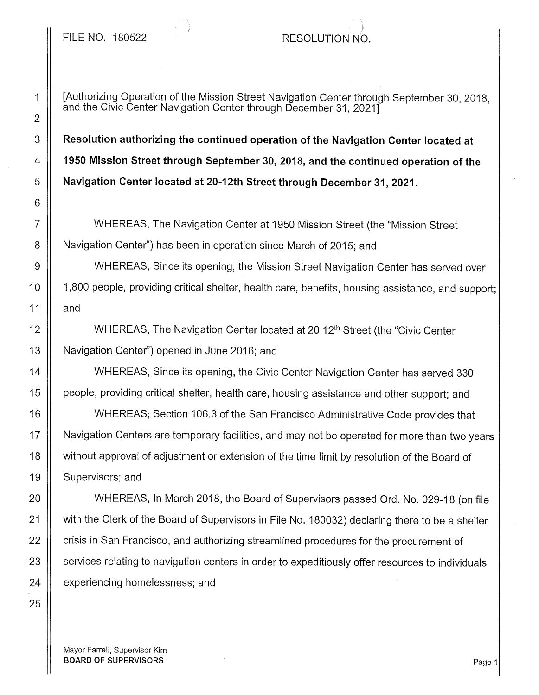## FILE NO. 180522 RESOLUTION NO.

# 2 6 25

1 | [Authorizing Operation of the Mission Street Navigation Center through September 30, 2018, and the Civic Center Navigation Center through December 31, 2021]

3 **Resolution authorizing the continued operation of the Navigation Center located at**  4 **1950 Mission Street through September 30, 2018, and the continued operation of the**  5 **Navigation Center located at 20-12th Street through December 31, 2021.** 

7 WHEREAS, The Navigation Center at 1950 Mission Street (the "Mission Street 8 | Navigation Center") has been in operation since March of 2015; and

9 WHEREAS, Since its opening, the Mission Street Navigation Center has served over 10 || 1,800 people, providing critical shelter, health care, benefits, housing assistance, and support; 11  $\parallel$  and

12 || WHEREAS, The Navigation Center located at 20 12<sup>th</sup> Street (the "Civic Center 13 | Navigation Center") opened in June 2016; and

14 WHEREAS, Since its opening, the Civic Center Navigation Center has served 330 15 | people, providing critical shelter, health care, housing assistance and other support; and

16 WHEREAS; Section 106.3 of the San Francisco Administrative Code provides that 17 | Navigation Centers are temporary facilities, and may not be operated for more than two years 18 | without approval of adjustment or extension of the time limit by resolution of the Board of 19 | Supervisors; and

20 WHEREAS, In March 2018, the Board of Supervisors passed Ord. No. 029-18 (on file 21 with the Clerk of the Board of Supervisors in File No. 180032) declaring there to be a shelter 22 | crisis in San Francisco, and authorizing streamlined procedures for the procurement of 23 Services relating to navigation centers in order to expeditiously offer resources to individuals  $24$   $\parallel$  experiencing homelessness; and

Mayor Farrell, Supervisor Kim BOARD OF SUPERVISORS **Page 1**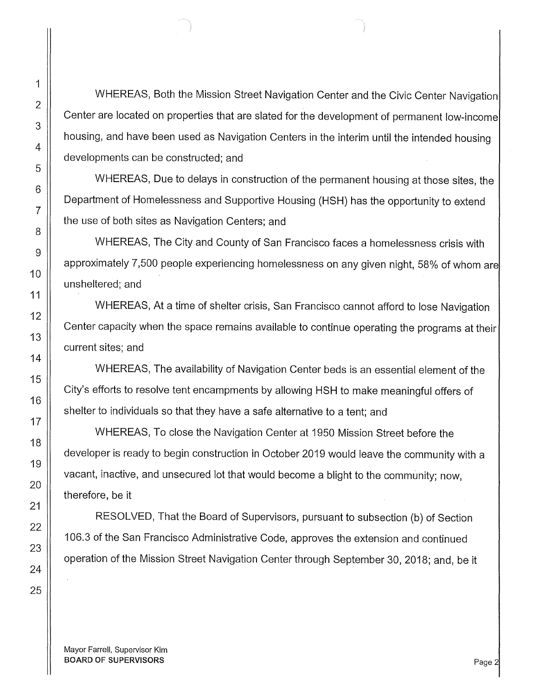WHEREAS, Both the Mission Street Navigation Center and the Civic Center Navigation Center are located on properties that are slated for the development of permanent low-income housing, and have been used as Navigation Centers in the interim until the intended housing developments can be constructed; and

WHEREAS, Due to delays in construction of the permanent housing at those sites, the Department of Homelessness and Supportive Housing (HSH) has the opportunity to extend the use of both sites as Navigation Centers; and

WHEREAS, The City and County of San Francisco faces a homelessness crisis with approximately 7,500 people experiencing homelessness on any given night, 58% of whom are unsheltered; and

WHEREAS, At a time of shelter crisis, San Francisco cannot afford to lose Navigation Center capacity when the space remains available to continue operating the programs at their current sites; and

WHEREAS, The availability of Navigation Center beds is an essential element of the City's efforts to resolve tent encampments by allowing HSH to make meaningful offers of shelter to individuals so that they have a safe alternative to a tent; and

WHEREAS, To close the Navigation Center at 1950 Mission Street before the developer is ready to begin construction in October 2019 would leave the community with a vacant, inactive, and unsecured lot that would become a blight to the community; now, therefore, be it

RESOLVED, That the Board of Supervisors, pursuant to subsection (b) of Section 106.3 of the San Francisco Administrative Code, approves the extension and continued operation of the Mission Street Navigation Center through September 30, 2018; and, be it

Mayor Farrell, Supervisor Kim BOARD OF SUPERVISORS **Page 2**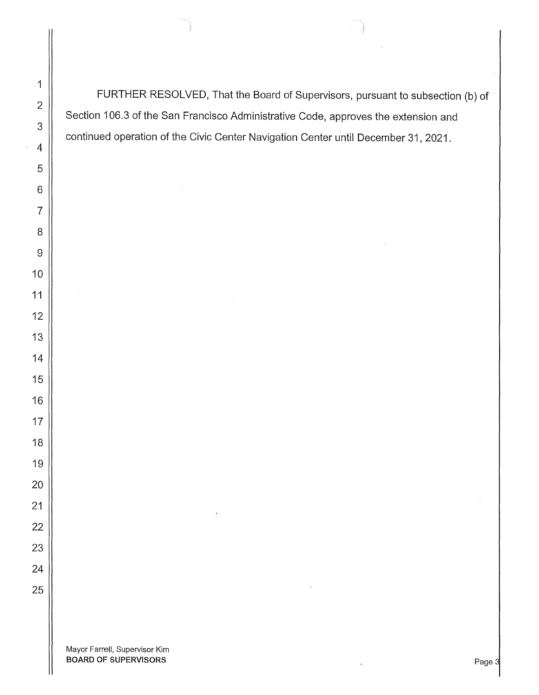FURTHER RESOLVED, That the Board of Supervisors, pursuant to subsection (b) of Section 106.3 of the San Francisco Administrative Code, approves the extension and continued operation of the Civic Center Navigation Center until December 31, 2021.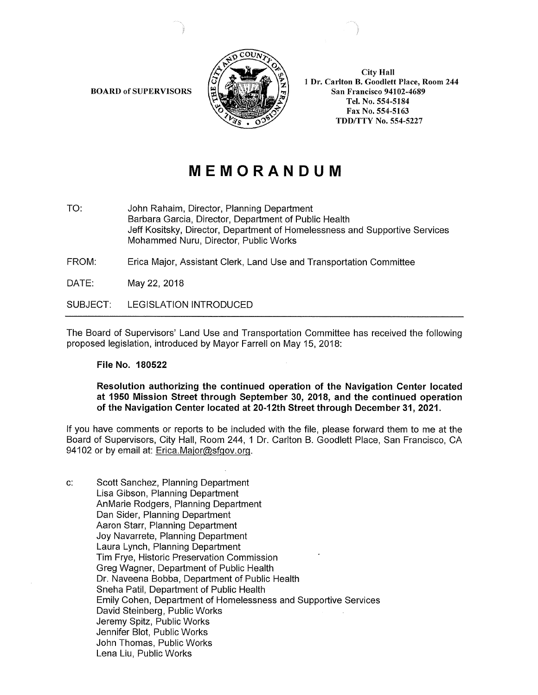BOARD of SUPERVISORS



City Hall l Dr. Carlton B. Goodlett Place, Room 244 San Francisco 94102-4689 Tel. No. 554-5184 Fax No. 554-5163 TDDffTY No. 554-5227

# **MEMORANDUM**

TO: John Rahaim, Director, Planning Department Barbara Garcia, Director, Department of Public Health Jeff Kositsky, Director, Department of Homelessness and Supportive Services Mohammed Nuru, Director, Public Works

FROM: Erica Major, Assistant Clerk, Land Use and Transportation Committee

DATE: May 22, 2018

SUBJECT: LEGISLATION INTRODUCED

The Board of Supervisors' Land Use and Transportation Committee has received the following proposed legislation, introduced by Mayor Farrell on May 15, 2018:

### File No. 180522

### Resolution authorizing the continued operation of the Navigation Center located at 1950 Mission Street through September 30, 2018, and the continued operation of the Navigation Center located at 20-12th Street through December 31, 2021.

If you have comments or reports to be included with the file, please forward them to me at the Board of Supervisors, City Hall, Room 244, 1 Dr. Carlton B. Goodlett Place, San Francisco, CA 94102 or by email at: Erica.Major@sfgov.org.

c: Scott Sanchez, Planning Department Lisa Gibson, Planning Department AnMarie Rodgers, Planning Department Dan Sider, Planning Department Aaron Starr, Planning Department Joy Navarrete, Planning Department Laura Lynch, Planning Department Tim Frye, Historic Preservation Commission Greg Wagner, Department of Public Health Dr. Naveena Bobba, Department of Public Health Sneha Patil, Department of Public Health Emily Cohen, Department of Homelessness and Supportive Services David Steinberg, Public Works Jeremy Spitz, Public Works Jennifer Blot, Public Works John Thomas, Public Works Lena Liu, Public Works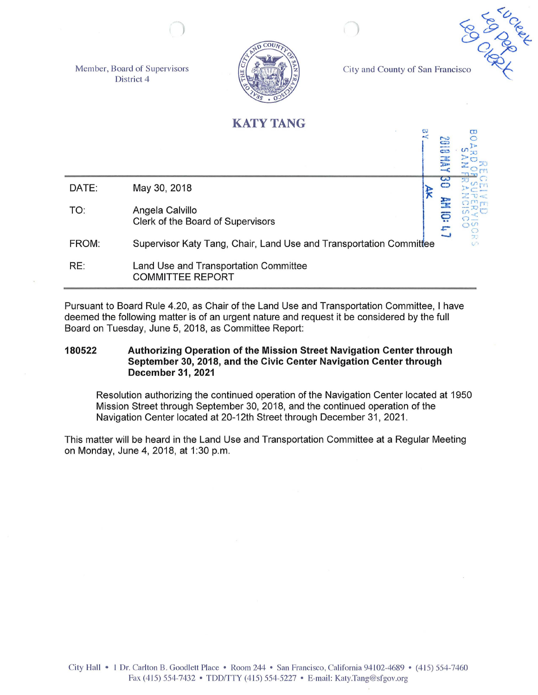Member, Board of Supervisors District 4



City and County of San Francisco



# **KATY TANG**

 $\leq$   $\sim$ =  $\frac{1}{2}$ ~  $=$ DATE: May 30, 2018  $\begin{array}{ccc} \searrow & \searrow & \searrow \end{array}$ > 2 a .c:- TO: Angela Calvillo Clerk of the Board of Supervisors  $\mathbb{Z}^2$ FROM: Supervisor Katy Tang, Chair, Land Use and Transportation Committee RE: Land Use and Transportation Committee COMMITTEE REPORT

Pursuant to Board Rule 4.20, as Chair of the Land Use and Transportation Committee, I have deemed the following matter is of an urgent nature and request it be considered by the full Board on Tuesday, June 5, 2018, as Committee Report:

**180522 Authorizing Operation of the Mission Street Navigation Center through September 30, 2018, and the Civic Center Navigation Center through December 31, 2021** 

Resolution authorizing the continued operation of the Navigation Center located at 1950 Mission Street through September 30, 2018, and the continued operation of the Navigation Center located at 20-12th Street through December 31, 2021.

This matter will be heard in the Land Use and Transportation Committee at a Regular Meeting on Monday, June 4, 2018, at 1:30 p.m.